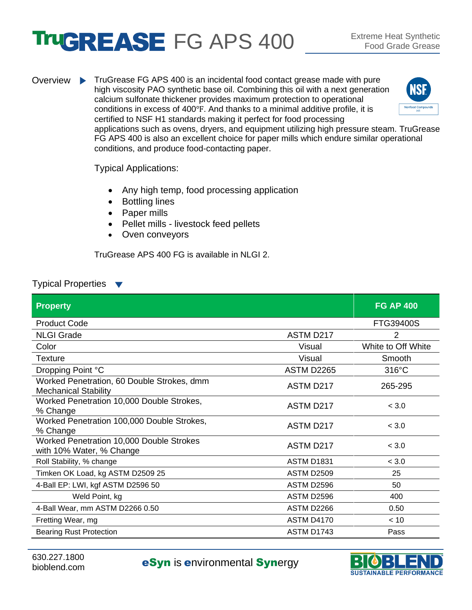## **TRUGREASE FG APS 400** Extreme Heat Synthetic

Overview TruGrease FG APS 400 is an incidental food contact grease made with pure high viscosity PAO synthetic base oil. Combining this oil with a next generation calcium sulfonate thickener provides maximum protection to operational conditions in excess of 400℉. And thanks to a minimal additive profile, it is certified to NSF H1 standards making it perfect for food processing



applications such as ovens, dryers, and equipment utilizing high pressure steam. TruGrease FG APS 400 is also an excellent choice for paper mills which endure similar operational conditions, and produce food-contacting paper.

Typical Applications:

- Any high temp, food processing application
- Bottling lines
- Paper mills
- Pellet mills livestock feed pellets
- Oven conveyors

TruGrease APS 400 FG is available in NLGI 2.

## Typical Properties

| <b>Property</b>                                                           |                   | <b>FG AP 400</b>   |
|---------------------------------------------------------------------------|-------------------|--------------------|
| <b>Product Code</b>                                                       |                   | FTG39400S          |
| <b>NLGI Grade</b>                                                         | ASTM D217         | $\overline{2}$     |
| Color                                                                     | Visual            | White to Off White |
| <b>Texture</b>                                                            | Visual            | Smooth             |
| Dropping Point °C                                                         | <b>ASTM D2265</b> | $316^{\circ}$ C    |
| Worked Penetration, 60 Double Strokes, dmm<br><b>Mechanical Stability</b> | ASTM D217         | 265-295            |
| Worked Penetration 10,000 Double Strokes,<br>% Change                     | ASTM D217         | < 3.0              |
| Worked Penetration 100,000 Double Strokes,<br>% Change                    | ASTM D217         | < 3.0              |
| Worked Penetration 10,000 Double Strokes<br>with 10% Water, % Change      | ASTM D217         | < 3.0              |
| Roll Stability, % change                                                  | <b>ASTM D1831</b> | < 3.0              |
| Timken OK Load, kg ASTM D2509 25                                          | <b>ASTM D2509</b> | 25                 |
| 4-Ball EP: LWI, kgf ASTM D2596 50                                         | ASTM D2596        | 50                 |
| Weld Point, kg                                                            | ASTM D2596        | 400                |
| 4-Ball Wear, mm ASTM D2266 0.50                                           | ASTM D2266        | 0.50               |
| Fretting Wear, mg                                                         | <b>ASTM D4170</b> | < 10               |
| <b>Bearing Rust Protection</b>                                            | ASTM D1743        | Pass               |

630.227.1800

b30.227.1800<br>bioblend.com **eSyn** is **environmental Synergy**